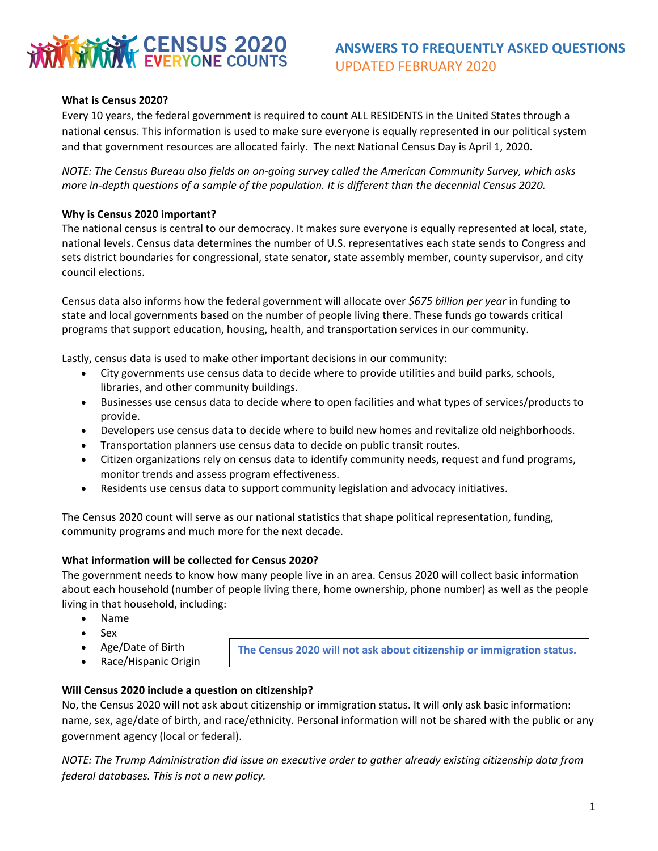

# **ANSWERS TO FREQUENTLY ASKED QUESTIONS** UPDATED FEBRUARY 2020

# **What is Census 2020?**

Every 10 years, the federal government is required to count ALL RESIDENTS in the United States through a national census. This information is used to make sure everyone is equally represented in our political system and that government resources are allocated fairly.  The next National Census Day is April 1, 2020.

*NOTE: The Census Bureau also fields an on-going survey called the American Community Survey, which asks more in-depth questions of a sample of the population. It is different than the decennial Census 2020.* 

# **Why is Census 2020 important?**

The national census is central to our democracy. It makes sure everyone is equally represented at local, state, national levels. Census data determines the number of U.S. representatives each state sends to Congress and sets district boundaries for congressional, state senator, state assembly member, county supervisor, and city council elections.   

Census data also informs how the federal government will allocate over *\$675 billion per year* in funding to state and local governments based on the number of people living there. These funds go towards critical programs that support education, housing, health, and transportation services in our community.  

Lastly, census data is used to make other important decisions in our community: 

- City governments use census data to decide where to provide utilities and build parks, schools, libraries, and other community buildings.
- Businesses use census data to decide where to open facilities and what types of services/products to provide.
- Developers use census data to decide where to build new homes and revitalize old neighborhoods.
- Transportation planners use census data to decide on public transit routes.
- Citizen organizations rely on census data to identify community needs, request and fund programs, monitor trends and assess program effectiveness.
- Residents use census data to support community legislation and advocacy initiatives.

The Census 2020 count will serve as our national statistics that shape political representation, funding, community programs and much more for the next decade.

#### **What information will be collected for Census 2020?**

The government needs to know how many people live in an area. Census 2020 will collect basic information about each household (number of people living there, home ownership, phone number) as well as the people living in that household, including:

- Name
- Sex
- Age/Date of Birth
- Race/Hispanic Origin

**The Census 2020 will not ask about citizenship or immigration status.** 

# **Will Census 2020 include a question on citizenship?**

No, the Census 2020 will not ask about citizenship or immigration status. It will only ask basic information: name, sex, age/date of birth, and race/ethnicity. Personal information will not be shared with the public or any government agency (local or federal).

*NOTE: The Trump Administration did issue an executive order to gather already existing citizenship data from federal databases. This is not a new policy.*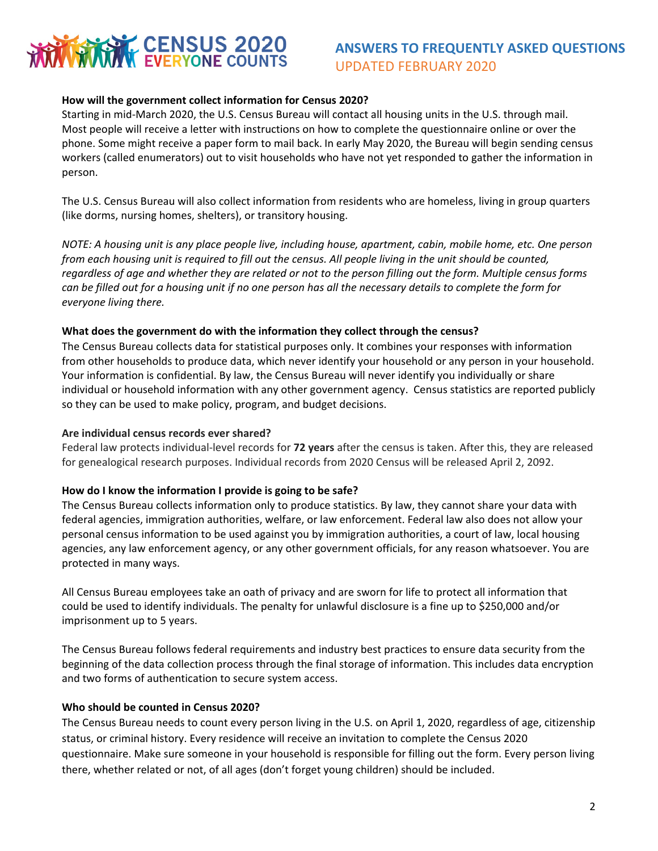# **KWY CENSUS 2020**

# **ANSWERS TO FREQUENTLY ASKED QUESTIONS** UPDATED FEBRUARY 2020

# **How will the government collect information for Census 2020?**

Starting in mid-March 2020, the U.S. Census Bureau will contact all housing units in the U.S. through mail. Most people will receive a letter with instructions on how to complete the questionnaire online or over the phone. Some might receive a paper form to mail back. In early May 2020, the Bureau will begin sending census workers (called enumerators) out to visit households who have not yet responded to gather the information in person.  

The U.S. Census Bureau will also collect information from residents who are homeless, living in group quarters (like dorms, nursing homes, shelters), or transitory housing.

*NOTE: A housing unit is any place people live, including house, apartment, cabin, mobile home, etc. One person from each housing unit is required to fill out the census. All people living in the unit should be counted, regardless of age and whether they are related or not to the person filling out the form. Multiple census forms can be filled out for a housing unit if no one person has all the necessary details to complete the form for everyone living there.* 

# **What does the government do with the information they collect through the census?**

The Census Bureau collects data for statistical purposes only. It combines your responses with information from other households to produce data, which never identify your household or any person in your household. Your information is confidential. By law, the Census Bureau will never identify you individually or share individual or household information with any other government agency.  Census statistics are reported publicly so they can be used to make policy, program, and budget decisions.

#### **Are individual census records ever shared?**

Federal law protects individual-level records for **72 years** after the census is taken. After this, they are released for genealogical research purposes. Individual records from 2020 Census will be released April 2, 2092.

# **How do I know the information I provide is going to be safe?**

The Census Bureau collects information only to produce statistics. By law, they cannot share your data with federal agencies, immigration authorities, welfare, or law enforcement. Federal law also does not allow your personal census information to be used against you by immigration authorities, a court of law, local housing agencies, any law enforcement agency, or any other government officials, for any reason whatsoever. You are protected in many ways.

All Census Bureau employees take an oath of privacy and are sworn for life to protect all information that could be used to identify individuals. The penalty for unlawful disclosure is a fine up to \$250,000 and/or imprisonment up to 5 years. 

The Census Bureau follows federal requirements and industry best practices to ensure data security from the beginning of the data collection process through the final storage of information. This includes data encryption and two forms of authentication to secure system access.

# **Who should be counted in Census 2020?**

The Census Bureau needs to count every person living in the U.S. on April 1, 2020, regardless of age, citizenship status, or criminal history. Every residence will receive an invitation to complete the Census 2020 questionnaire. Make sure someone in your household is responsible for filling out the form. Every person living there, whether related or not, of all ages (don't forget young children) should be included.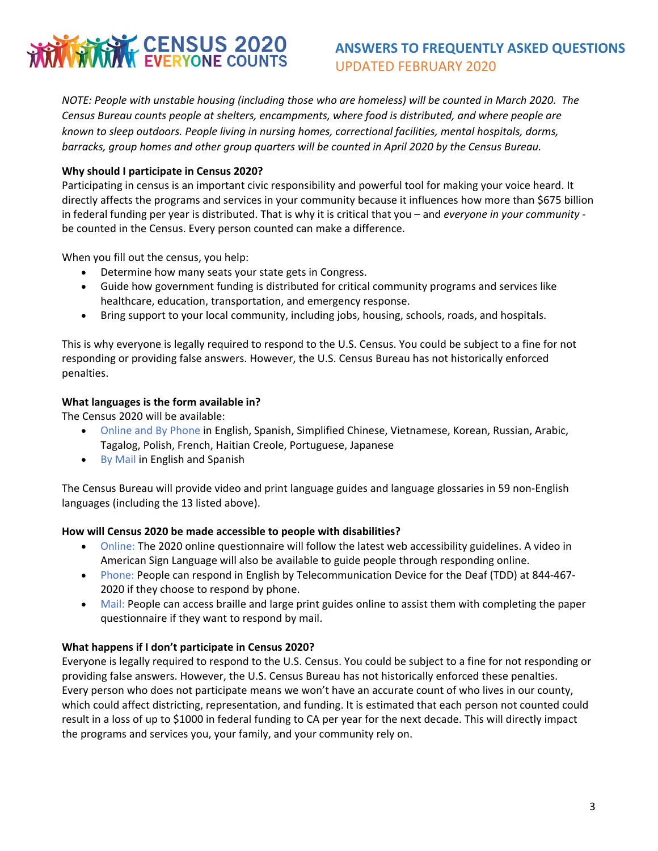# CENSUS 2020

# **ANSWERS TO FREQUENTLY ASKED QUESTIONS** UPDATED FEBRUARY 2020

*NOTE: People with unstable housing (including those who are homeless) will be counted in March 2020. The Census Bureau counts people at shelters, encampments, where food is distributed, and where people are known to sleep outdoors. People living in nursing homes, correctional facilities, mental hospitals, dorms, barracks, group homes and other group quarters will be counted in April 2020 by the Census Bureau.*

# **Why should I participate in Census 2020?**

Participating in census is an important civic responsibility and powerful tool for making your voice heard. It directly affects the programs and services in your community because it influences how more than \$675 billion in federal funding per year is distributed. That is why it is critical that you – and *everyone in your community* be counted in the Census. Every person counted can make a difference.

When you fill out the census, you help:

- Determine how many seats your state gets in Congress.
- Guide how government funding is distributed for critical community programs and services like healthcare, education, transportation, and emergency response.
- Bring support to your local community, including jobs, housing, schools, roads, and hospitals.

This is why everyone is legally required to respond to the U.S. Census. You could be subject to a fine for not responding or providing false answers. However, the U.S. Census Bureau has not historically enforced penalties.

# **What languages is the form available in?**

The Census 2020 will be available:

- Online and By Phone in English, Spanish, Simplified Chinese, Vietnamese, Korean, Russian, Arabic, Tagalog, Polish, French, Haitian Creole, Portuguese, Japanese
- By Mail in English and Spanish

The Census Bureau will provide video and print language guides and language glossaries in 59 non-English languages (including the 13 listed above).

# **How will Census 2020 be made accessible to people with disabilities?**

- Online: The 2020 online questionnaire will follow the latest web accessibility guidelines. A video in American Sign Language will also be available to guide people through responding online.
- Phone: People can respond in English by Telecommunication Device for the Deaf (TDD) at 844-467- 2020 if they choose to respond by phone.
- Mail: People can access braille and large print guides online to assist them with completing the paper questionnaire if they want to respond by mail.

# **What happens if I don't participate in Census 2020?**

Everyone is legally required to respond to the U.S. Census. You could be subject to a fine for not responding or providing false answers. However, the U.S. Census Bureau has not historically enforced these penalties. Every person who does not participate means we won't have an accurate count of who lives in our county, which could affect districting, representation, and funding. It is estimated that each person not counted could result in a loss of up to \$1000 in federal funding to CA per year for the next decade. This will directly impact the programs and services you, your family, and your community rely on.